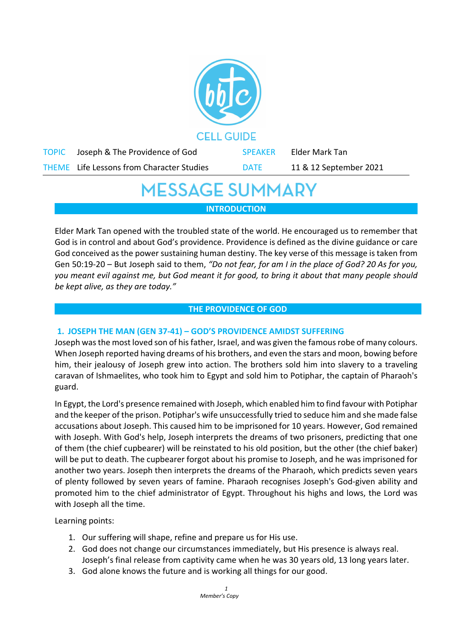

# **MESSAGE SUMMARY INTRODUCTION**

Elder Mark Tan opened with the troubled state of the world. He encouraged us to remember that God is in control and about God's providence. Providence is defined as the divine guidance or care God conceived as the power sustaining human destiny. The key verse of this message is taken from Gen 50:19-20 – But Joseph said to them, *"Do not fear, for am I in the place of God? 20 As for you, you meant evil against me, but God meant it for good, to bring it about that many people should be kept alive, as they are today."*

#### **THE PROVIDENCE OF GOD**

## **1. JOSEPH THE MAN (GEN 37-41) – GOD'S PROVIDENCE AMIDST SUFFERING**

Joseph was the most loved son of his father, Israel, and was given the famous robe of many colours. When Joseph reported having dreams of his brothers, and even the stars and moon, bowing before him, their jealousy of Joseph grew into action. The brothers sold him into slavery to a traveling caravan of Ishmaelites, who took him to Egypt and sold him to Potiphar, the captain of Pharaoh's guard.

In Egypt, the Lord's presence remained with Joseph, which enabled him to find favour with Potiphar and the keeper of the prison. Potiphar's wife unsuccessfully tried to seduce him and she made false accusations about Joseph. This caused him to be imprisoned for 10 years. However, God remained with Joseph. With God's help, Joseph interprets the dreams of two prisoners, predicting that one of them (the chief cupbearer) will be reinstated to his old position, but the other (the chief baker) will be put to death. The cupbearer forgot about his promise to Joseph, and he was imprisoned for another two years. Joseph then interprets the dreams of the Pharaoh, which predicts seven years of plenty followed by seven years of famine. Pharaoh recognises Joseph's God-given ability and promoted him to the chief administrator of Egypt. Throughout his highs and lows, the Lord was with Joseph all the time.

Learning points:

- 1. Our suffering will shape, refine and prepare us for His use.
- 2. God does not change our circumstances immediately, but His presence is always real. Joseph's final release from captivity came when he was 30 years old, 13 long years later.
- 3. God alone knows the future and is working all things for our good.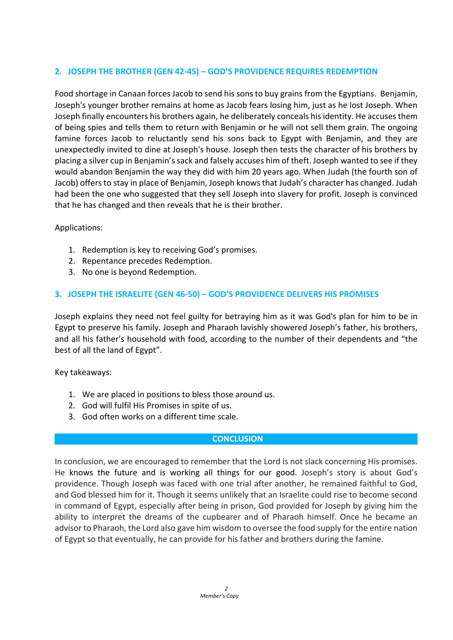## **2. JOSEPH THE BROTHER (GEN 42-45) – GOD'S PROVIDENCE REQUIRES REDEMPTION**

Food shortage in Canaan forces Jacob to send his sons to buy grains from the Egyptians. Benjamin, Joseph's younger brother remains at home as Jacob fears losing him, just as he lost Joseph. When Joseph finally encounters his brothers again, he deliberately conceals his identity. He accuses them of being spies and tells them to return with Benjamin or he will not sell them grain. The ongoing famine forces Jacob to reluctantly send his sons back to Egypt with Benjamin, and they are unexpectedly invited to dine at Joseph's house. Joseph then tests the character of his brothers by placing a silver cup in Benjamin's sack and falsely accuses him of theft. Joseph wanted to see if they would abandon Benjamin the way they did with him 20 years ago. When Judah (the fourth son of Jacob) offers to stay in place of Benjamin, Joseph knows that Judah's character has changed. Judah had been the one who suggested that they sell Joseph into slavery for profit. Joseph is convinced that he has changed and then reveals that he is their brother.

#### Applications:

- 1. Redemption is key to receiving God's promises.
- 2. Repentance precedes Redemption.
- 3. No one is beyond Redemption.

#### **3. JOSEPH THE ISRAELITE (GEN 46-50) – GOD'S PROVIDENCE DELIVERS HIS PROMISES**

Joseph explains they need not feel guilty for betraying him as it was God's plan for him to be in Egypt to preserve his family. Joseph and Pharaoh lavishly showered Joseph's father, his brothers, and all his father's household with food, according to the number of their dependents and "the best of all the land of Egypt".

Key takeaways:

- 1. We are placed in positions to bless those around us.
- 2. God will fulfil His Promises in spite of us.
- 3. God often works on a different time scale.

#### **CONCLUSION**

In conclusion, we are encouraged to remember that the Lord is not slack concerning His promises. He knows the future and is working all things for our good. Joseph's story is about God's providence. Though Joseph was faced with one trial after another, he remained faithful to God, and God blessed him for it. Though it seems unlikely that an Israelite could rise to become second in command of Egypt, especially after being in prison, God provided for Joseph by giving him the ability to interpret the dreams of the cupbearer and of Pharaoh himself. Once he became an advisor to Pharaoh, the Lord also gave him wisdom to oversee the food supply for the entire nation of Egypt so that eventually, he can provide for his father and brothers during the famine.